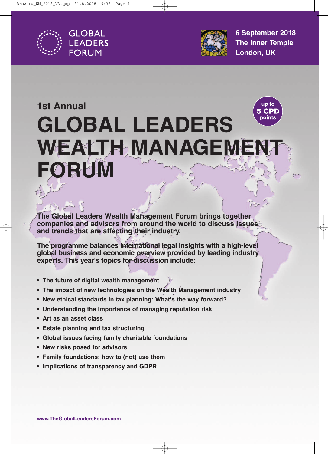



**6 September 2018 The Inner Temple London, UK**

## up to **1st Annual** 5 CPD points **GLOBAL LEADERS EALTH MANAGEI ORUM**

**The Global Leaders Wealth Management Forum brings together companies and advisors from around the world to discuss issues and trends that are affecting their industry.** 

**The programme balances international legal insights with a high-level global business and economic overview provided by leading industry experts. This year's topics for discussion include:**

- **The future of digital wealth management**
- **The impact of new technologies on the Wealth Management industry**
- **New ethical standards in tax planning: What's the way forward?**
- **Understanding the importance of managing reputation risk**
- **Art as an asset class**
- **Estate planning and tax structuring**
- **Global issues facing family charitable foundations**
- **New risks posed for advisors**
- **Family foundations: how to (not) use them**
- **Implications of transparency and GDPR**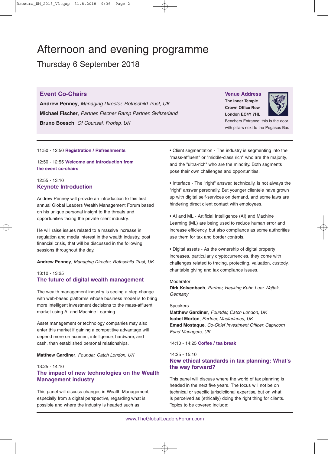## Afternoon and evening programme

Thursday 6 September 2018

## **Event Co-Chairs**

**Andrew Penney**, *Managing Director, Rothschild Trust, UK* **Michael Fischer**, *Partner, Fischer Ramp Partner, Switzerland* **Bruno Boesch**, *Of Counsel, Froriep, UK*

## **Venue Address The Inner Temple**

**Crown Office Row London EC4Y 7HL**



Benchers Entrance: this is the door with pillars next to the Pegasus Bar.

### 11:50 - 12:50 **Registration / Refreshments**

12:50 - 12:55 **Welcome and introduction from the event co-chairs**

## 12:55 - 13:10 **Keynote Introduction**

Andrew Penney will provide an introduction to this first annual Global Leaders Wealth Management Forum based on his unique personal insight to the threats and opportunities facing the private client industry.

He will raise issues related to a massive increase in regulation and media interest in the wealth industry, post financial crisis, that will be discussed in the following sessions throughout the day.

**Andrew Penney**, *Managing Director, Rothschild Trust, UK*

## 13:10 - 13:25 **The future of digital wealth management**

The wealth management industry is seeing a step-change with web-based platforms whose business model is to bring more intelligent investment decisions to the mass-affluent market using AI and Machine Learning.

Asset management or technology companies may also enter this market if gaining a competitive advantage will depend more on acumen, intelligence, hardware, and cash, than established personal relationships.

**Matthew Gardiner**, *Founder, Catch London, UK*

## 13:25 - 14:10

## **The impact of new technologies on the Wealth Management industry**

This panel will discuss changes in Wealth Management, especially from a digital perspective, regarding what is possible and where the industry is headed such as:

• Client segmentation - The industry is segmenting into the "mass-affluent" or "middle-class rich" who are the majority, and the "ultra-rich" who are the minority. Both segments pose their own challenges and opportunities.

• Interface - The "right" answer, technically, is not always the "right" answer personally. But younger clientele have grown up with digital self-services on demand, and some laws are hindering direct client contact with employees.

• AI and ML - Artificial Intelligence (AI) and Machine Learning (ML) are being used to reduce human error and increase efficiency, but also compliance as some authorities use them for tax and border controls.

• Digital assets - As the ownership of digital property increases, particularly cryptocurrencies, they come with challenges related to tracing, protecting, valuation, custody, charitable giving and tax compliance issues.

### Moderator

**Dirk Kolvenbach**, *Partner, Heuking Kuhn Luer Wojtek, Germany*

#### **Speakers**

**Matthew Gardiner**, *Founder, Catch London, UK* **Isobel Morton**, *Partner, Macfarlanes, UK* **Emad Mostaque**, *Co-Chief Investment Officer, Capricorn Fund Managers, UK*

14:10 - 14:25 **Coffee / tea break**

#### 14:25 - 15:10

## **New ethical standards in tax planning: What's the way forward?**

This panel will discuss where the world of tax planning is headed in the next five years. The focus will not be on technical or specific jurisdictional expertise, but on what is perceived as (ethically) doing the right thing for clients. Topics to be covered include: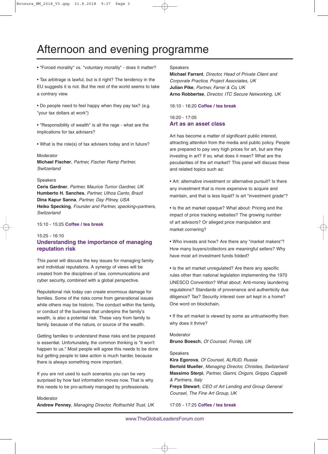## Afternoon and evening programme

• "Forced morality" vs. "voluntary morality" - does it matter?

• Tax arbitrage is lawful, but is it right? The tendency in the EU suggests it is not. But the rest of the world seems to take a contrary view.

• Do people need to feel happy when they pay tax? (e.g. "your tax dollars at work")

• "Responsibility of wealth" is all the rage - what are the implications for tax advisers?

• What is the role(s) of tax advisers today and in future?

#### Moderator

**Michael Fischer**, *Partner, Fischer Ramp Partner, Switzerland*

#### Speakers

**Ceris Gardner**, *Partner, Maurice Turnor Gardner, UK* **Humberto H. Sanches**, *Partner, Ulhoa Canto, Brazil* **Dina Kapur Sanna**, *Partner, Day Pitney, USA* **Heiko Specking**, *Founder and Partner, specking+partners, Switzerland*

15:10 - 15:25 **Coffee / tea break**

## 15:25 - 16:10 **Understanding the importance of managing reputation risk**

This panel will discuss the key issues for managing family and individual reputations. A synergy of views will be created from the disciplines of law, communications and cyber security, combined with a global perspective.

Reputational risk today can create enormous damage for families. Some of the risks come from generational issues while others may be historic. The conduct within the family, or conduct of the business that underpins the family's wealth, is also a potential risk. These vary from family to family, because of the nature, or source of the wealth.

Getting families to understand these risks and be prepared is essential. Unfortunately, the common thinking is "it won't happen to us." Most people will agree this needs to be done but getting people to take action is much harder, because there is always something more important.

If you are not used to such scenarios you can be very surprised by how fast information moves now. That is why this needs to be pro-actively managed by professionals.

Moderator **Andrew Penney**, *Managing Director, Rothschild Trust, UK*

#### Speakers

**Michael Farrant**, *Director, Head of Private Client and Corporate Practice, Project Associates, UK* **Julian Pike**, *Partner, Farrer & Co, UK* **Arno Robbertse**, *Director, ITC Secure Networking, UK*

16:10 - 16:20 **Coffee / tea break**

16:20 - 17:05 **Art as an asset class**

Art has become a matter of significant public interest, attracting attention from the media and public policy. People are prepared to pay very high prices for art, but are they investing in art? If so, what does it mean? What are the peculiarities of the art market? This panel will discuss these and related topics such as:

• Art: alternative investment or alternative pursuit? Is there any investment that is more expensive to acquire and maintain, and that is less liquid? Is art "investment grade"?

• Is the art market opaque? What about: Pricing and the impact of price tracking websites? The growing number of art advisors? Or alleged price manipulation and market cornering?

• Who invests and how? Are there any "market makers"? How many buyers/collectors are meaningful sellers? Why have most art investment funds folded?

• Is the art market unregulated? Are there any specific rules other than national legislation implementing the 1970 UNESCO Convention? What about: Anti-money laundering regulations? Standards of provenance and authenticity due diligence? Tax? Security interest over art kept in a home? One word on blockchain.

• If the art market is viewed by some as untrustworthy then why does it thrive?

Moderator **Bruno Boesch**, *Of Counsel, Froriep, UK*

#### Speakers

**Kira Egorova**, *Of Counsel, ALRUD, Russia* **Bertold Mueller**, *Managing Director, Christies, Switzerland*  **Massimo Sterpi**, *Partner, Gianni, Origoni, Grippo, Cappelli & Partners, Italy*

**Freya Stewart**, *CEO of Art Lending and Group General Counsel, The Fine Art Group, UK*

17:05 - 17:25 **Coffee / tea break**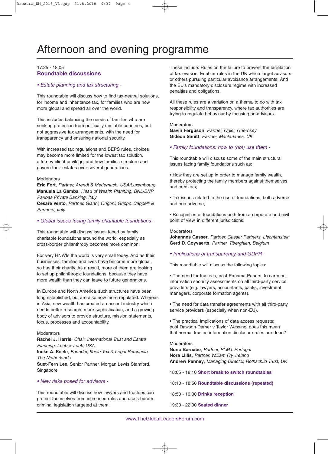## 17:25 - 18:05 **Roundtable discussions**

### *• Estate planning and tax structuring -*

This roundtable will discuss how to find tax-neutral solutions, for income and inheritance tax, for families who are now more global and spread all over the world.

This includes balancing the needs of families who are seeking protection from politically unstable countries, but not aggressive tax arrangements, with the need for transparency and ensuring national security.

With increased tax regulations and BEPS rules, choices may become more limited for the lowest tax solution, attorney-client privilege, and how families structure and govern their estates over several generations.

#### Moderators

**Eric Fort**, *Partner, Arendt & Medernach, USA/Luxembourg* **Manuela La Gamba**, *Head of Wealth Planning, BNL-BNP Paribas Private Banking, Italy*

**Cesare Vento**, *Partner, Gianni, Origoni, Grippo, Cappelli & Partners, Italy*

### *• Global issues facing family charitable foundations -*

This roundtable will discuss issues faced by family charitable foundations around the world, especially as cross-border philanthropy becomes more common.

For very HNWIs the world is very small today. And as their businesses, families and lives have become more global, so has their charity. As a result, more of them are looking to set up philanthropic foundations, because they have more wealth than they can leave to future generations.

In Europe and North America, such structures have been long established, but are also now more regulated. Whereas in Asia, new wealth has created a nascent industry which needs better research, more sophistication, and a growing body of advisors to provide structure, mission statements, focus, processes and accountability.

### **Moderators**

**Rachel J. Harris**, *Chair, International Trust and Estate Planning, Loeb & Loeb, USA*

**Ineke A. Koele**, *Founder, Koele Tax & Legal Perspecta, The Netherlands*

**Suet-Fern Lee**, Senior Partner, Morgan Lewis Stamford, Singapore

## *• New risks posed for advisors -*

This roundtable will discuss how lawyers and trustees can protect themselves from increased rules and cross-border criminal legislation targeted at them.

These include: Rules on the failure to prevent the facilitation of tax evasion; Enabler rules in the UK which target advisors or others pursuing particular avoidance arrangements; And the EU's mandatory disclosure regime with increased penalties and obligations.

All these rules are a variation on a theme, to do with tax responsibility and transparency, where tax authorities are trying to regulate behaviour by focusing on advisors.

## **Moderators**

**Gavin Ferguson**, *Partner, Ogier, Guernsey*  **Gideon Sanitt**, *Partner, Macfarlanes, UK*

*• Family foundations: how to (not) use them -*

This roundtable will discuss some of the main structural issues facing family foundations such as:

• How they are set up in order to manage family wealth, thereby protecting the family members against themselves and creditors;

• Tax issues related to the use of foundations, both adverse and non-adverse;

• Recognition of foundations both from a corporate and civil point of view, in different jurisdictions.

#### **Moderators**

**Johannes Gasser**, *Partner, Gasser Partners, Liechtenstein* **Gerd D. Goyvaerts**, *Partner, Tiberghien, Belgium*

### *• Implications of transparency and GDPR -*

This roundtable will discuss the following topics:

• The need for trustees, post-Panama Papers, to carry out information security assessments on all third-party service providers (e.g. lawyers, accountants, banks, investment managers, corporate formation agents).

• The need for data transfer agreements with all third-party service providers (especially when non-EU).

• The practical implications of data access requests: post Dawson-Damer v Taylor Wessing, does this mean that normal trustee information disclosure rules are dead?

### Moderators

**Nuno Barnabe**, *Partner, PLMJ, Portugal*  **Nora Lillis**, *Partner, William Fry, Ireland*  **Andrew Penney**, *Managing Director, Rothschild Trust, UK*

18:05 - 18:10 **Short break to switch roundtables**

- 18:10 18:50 **Roundtable discussions (repeated)**
- 18:50 19:30 **Drinks reception**
- 19:30 22:00 **Seated dinner**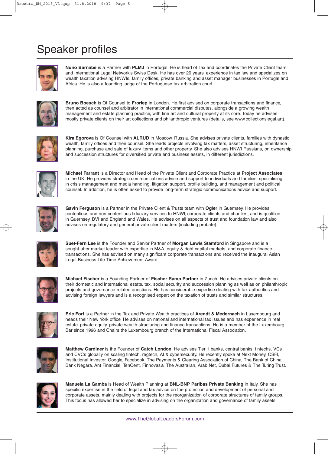# Speaker profiles



**Nuno Barnabe** is a Partner with **PLMJ** in Portugal. He is head of Tax and coordinates the Private Client team and International Legal Network's Swiss Desk. He has over 20 years' experience in tax law and specializes on wealth taxation advising HNWIs, family offices, private banking and asset manager businesses in Portugal and Africa. He is also a founding judge of the Portuguese tax arbitration court.



**Bruno Boesch** is Of Counsel to **Froriep** in London. He first advised on corporate transactions and finance, then acted as counsel and arbitrator in international commercial disputes, alongside a growing wealth management and estate planning practice, with fine art and cultural property at its core. Today he advises mostly private clients on their art collections and philanthropic ventures (details, see www.collectionslegal.art).



**Kira Egorova** is Of Counsel with **ALRUD** in Moscow, Russia. She advises private clients, families with dynastic wealth, family offices and their counsel. She leads projects involving tax matters, asset structuring, inheritance planning, purchase and sale of luxury items and other property. She also advises HNWI Russians, on ownership and succession structures for diversified private and business assets, in different jurisdictions.



**Michael Farrant** is a Director and Head of the Private Client and Corporate Practice at **Project Associates** in the UK. He provides strategic communications advice and support to individuals and families, specialising in crisis management and media handling, litigation support, profile building, and management and political counsel. In addition, he is often asked to provide long-term strategic communications advice and support.



**Gavin Ferguson** is a Partner in the Private Client & Trusts team with **Ogier** in Guernsey. He provides contentious and non-contentious fiduciary services to HNWI, corporate clients and charities, and is qualified in Guernsey, BVI and England and Wales. He advises on all aspects of trust and foundation law and also advises on regulatory and general private client matters (including probate).



**Suet-Fern Lee** is the Founder and Senior Partner of **Morgan Lewis Stamford** in Singapore and is a sought-after market leader with expertise in M&A, equity & debt capital markets, and corporate finance transactions. She has advised on many significant corporate transactions and received the inaugural Asian Legal Business Life Time Achievement Award.



**Michael Fischer** is a Founding Partner of **Fischer Ramp Partner** in Zurich. He advises private clients on their domestic and international estate, tax, social security and succession planning as well as on philanthropic projects and governance related questions. He has considerable expertise dealing with tax authorities and advising foreign lawyers and is a recognised expert on the taxation of trusts and similar structures.



**Eric Fort** is a Partner in the Tax and Private Wealth practices of **Arendt & Medernach** in Luxembourg and heads their New York office. He advises on national and international tax issues and has experience in real estate, private equity, private wealth structuring and finance transactions. He is a member of the Luxembourg Bar since 1996 and Chairs the Luxembourg branch of the International Fiscal Association.



**Matthew Gardiner** is the Founder of **Catch London**. He advises Tier 1 banks, central banks, fintechs, VCs and CVCs globally on scaling fintech, regtech, AI & cybersecurity. He recently spoke at Next Money, CSFI, Institutional Investor, Google, Facebook, The Payments & Clearing Association of China, The Bank of China, Bank Negara, Ant Financial, TenCent, Finnovasia, The Australian, Arab Net, Dubai Futures & The Turing Trust.



**Manuela La Gamba** is Head of Wealth Planning at **BNL-BNP Paribas Private Banking** in Italy. She has specific expertise in the field of legal and tax advice on the protection and development of personal and corporate assets, mainly dealing with projects for the reorganization of corporate structures of family groups. This focus has allowed her to specialize in advising on the organization and governance of family assets.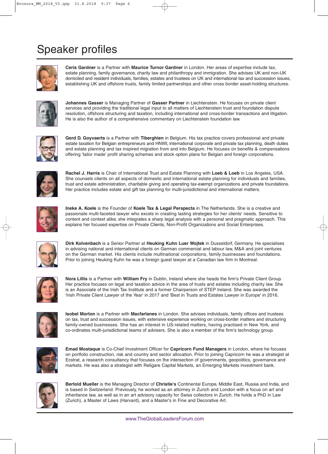# Speaker profiles



**Ceris Gardner** is a Partner with **Maurice Turnor Gardner** in London. Her areas of expertise include tax, estate planning, family governance, charity law and philanthropy and immigration. She advises UK and non-UK domiciled and resident individuals, families, estates and trustees on UK and international tax and succession issues, establishing UK and offshore trusts, family limited partnerships and other cross border asset-holding structures.



**Johannes Gasser** is Managing Partner of **Gasser Partner** in Liechtenstein. He focuses on private client services and providing the traditional legal input to all matters of Liechtenstein trust and foundation dispute resolution, offshore structuring and taxation, including international and cross-border transactions and litigation. He is also the author of a comprehensive commentary on Liechtenstein foundation law.



**Gerd D. Goyvaerts** is a Partner with **Tiberghien** in Belgium. His tax practice covers professional and private estate taxation for Belgian entrepreneurs and HNWI, international corporate and private tax planning, death duties and estate planning and tax inspired migration from and into Belgium. He focuses on benefits & compensations offering 'tailor made' profit sharing schemes and stock option plans for Belgian and foreign corporations.



**Rachel J. Harris** is Chair of International Trust and Estate Planning with **Loeb & Loeb** in Los Angeles, USA. She counsels clients on all aspects of domestic and international estate planning for individuals and families, trust and estate administration, charitable giving and operating tax-exempt organizations and private foundations. Her practice includes estate and gift tax planning for multi-jurisdictional and international matters.



**Ineke A. Koele** is the Founder of **Koele Tax & Legal Perspecta** in The Netherlands. She is a creative and passionate multi-faceted lawyer who excels in creating lasting strategies for her clients' needs. Sensitive to content and context alike, she integrates a sharp legal analysis with a personal and pragmatic approach. This explains her focused expertise on Private Clients, Non-Profit Organizations and Social Enterprises.



**Dirk Kolvenbach** is a Senior Partner at **Heuking Kuhn Luer Wojtek** in Dusseldorf, Germany. He specialises in advising national and international clients on German commercial and labour law, M&A and joint ventures on the German market. His clients include multinational corporations, family businesses and foundations. Prior to joining Heuking Kuhn he was a foreign guest lawyer at a Canadian law firm in Montreal.



**Nora Lillis** is a Partner with **William Fry** in Dublin, Ireland where she heads the firm's Private Client Group. Her practice focuses on legal and taxation advice in the area of trusts and estates including charity law. She is an Associate of the Irish Tax Institute and a former Chairperson of STEP Ireland. She was awarded the 'Irish Private Client Lawyer of the Year' in 2017 and 'Best in Trusts and Estates Lawyer in Europe' in 2016.



**Isobel Morton** is a Partner with **Macfarlanes** in London. She advises individuals, family offices and trustees on tax, trust and succession issues, with extensive experience working on cross-border matters and structuring family-owned businesses. She has an interest in US-related matters, having practised in New York, and co-ordinates multi-jurisdictional teams of advisers. She is also a member of the firm's technology group.



**Emad Mostaque** is Co-Chief Investment Officer for **Capricorn Fund Managers** in London, where he focuses on portfolio construction, risk and country and sector allocation. Prior to joining Capricorn he was a strategist at Ecstrat, a research consultancy that focuses on the intersection of governments, geopolitics, governance and markets. He was also a strategist with Religare Capital Markets, an Emerging Markets investment bank.



**Bertold Mueller** is the Managing Director of **Christie's** Continental Europe, Middle East, Russia and India, and is based in Switzerland. Previously, he worked as an attorney in Zurich and London with a focus on art and inheritance law, as well as in an art advisory capacity for Swiss collectors in Zurich. He holds a PhD in Law (Zurich), a Master of Laws (Harvard), and a Master's in Fine and Decorative Art.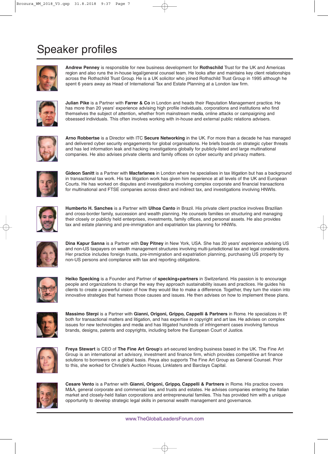# Speaker profiles



**Andrew Penney** is responsible for new business development for **Rothschild** Trust for the UK and Americas region and also runs the in-house legal/general counsel team. He looks after and maintains key client relationships across the Rothschild Trust Group. He is a UK solicitor who joined Rothschild Trust Group in 1995 although he spent 6 years away as Head of International Tax and Estate Planning at a London law firm.



**Julian Pike** is a Partner with **Farrer & Co** in London and heads their Reputation Management practice. He has more than 20 years' experience advising high profile individuals, corporations and institutions who find themselves the subject of attention, whether from mainstream media, online attacks or campaigning and obsessed individuals. This often involves working with in-house and external public relations advisers.



**Arno Robbertse** is a Director with ITC **Secure Networking** in the UK. For more than a decade he has managed and delivered cyber security engagements for global organisations. He briefs boards on strategic cyber threats and has led information leak and hacking investigations globally for publicly-listed and large multinational companies. He also advises private clients and family offices on cyber security and privacy matters.



**Gideon Sanitt** is a Partner with **Macfarlanes** in London where he specialises in tax litigation but has a background in transactional tax work. His tax litigation work has given him experience at all levels of the UK and European Courts. He has worked on disputes and investigations involving complex corporate and financial transactions for multinational and FTSE companies across direct and indirect tax, and investigations involving HNWIs.



**Humberto H. Sanches** is a Partner with **Ulhoa Canto** in Brazil. His private client practice involves Brazilian and cross-border family, succession and wealth planning. He counsels families on structuring and managing their closely or publicly held enterprises, investments, family offices, and personal assets. He also provides tax and estate planning and pre-immigration and expatriation tax planning for HNWIs.



**Dina Kapur Sanna** is a Partner with **Day Pitney** in New York, USA. She has 20 years' experience advising US and non-US taxpayers on wealth management structures involving multi-jurisdictional tax and legal considerations. Her practice includes foreign trusts, pre-immigration and expatriation planning, purchasing US property by non-US persons and compliance with tax and reporting obligations.



**Heiko Specking** is a Founder and Partner of **specking+partners** in Switzerland. His passion is to encourage people and organizations to change the way they approach sustainability issues and practices. He guides his clients to create a powerful vision of how they would like to make a difference. Together, they turn the vision into innovative strategies that harness those causes and issues. He then advises on how to implement these plans.



**Massimo Sterpi** is a Partner with **Gianni, Origoni, Grippo, Cappelli & Partners** in Rome. He specializes in IP, both for transactional matters and litigation, and has expertise in copyright and art law. He advises on complex issues for new technologies and media and has litigated hundreds of infringement cases involving famous brands, designs, patents and copyrights, including before the European Court of Justice.



**Freya Stewart** is CEO of **The Fine Art Group**'s art-secured lending business based in the UK. The Fine Art Group is an international art advisory, investment and finance firm, which provides competitive art finance solutions to borrowers on a global basis. Freya also supports The Fine Art Group as General Counsel. Prior to this, she worked for Christie's Auction House, Linklaters and Barclays Capital.



**Cesare Vento** is a Partner with **Gianni, Origoni, Grippo, Cappelli & Partners** in Rome. His practice covers M&A, general corporate and commercial law, and trusts and estates. He advises companies entering the Italian market and closely-held Italian corporations and entrepreneurial families. This has provided him with a unique opportunity to develop strategic legal skills in personal wealth management and governance.